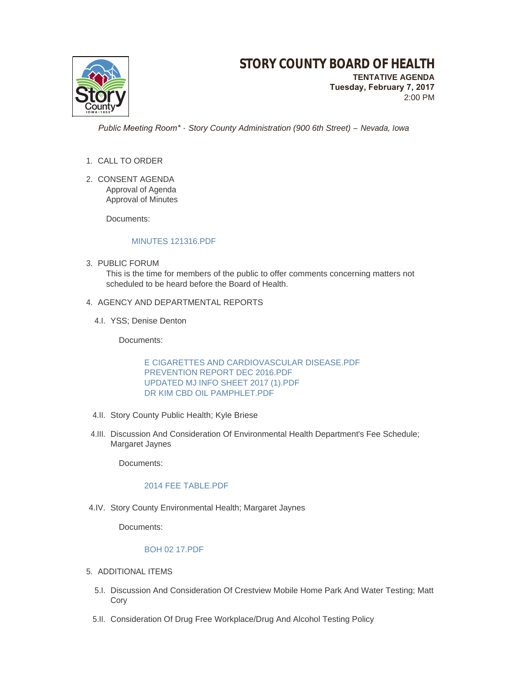# **STORY COUNTY BOARD OF HEALTH**

**TENTATIVE AGENDA Tuesday, February 7, 2017** 2:00 PM

 *Public Meeting Room\* - Story County Administration (900 6th Street) – Nevada, Iowa*

- 1. CALL TO ORDER
- 2. CONSENT AGENDA Approval of Agenda Approval of Minutes

Documents:

# [MINUTES 121316.PDF](http://www.storycountyiowa.gov/AgendaCenter/ViewFile/Item/8377?fileID=5971)

3. PUBLIC FORUM

This is the time for members of the public to offer comments concerning matters not scheduled to be heard before the Board of Health.

# 4. AGENCY AND DEPARTMENTAL REPORTS

4.I. YSS; Denise Denton

Documents:

[E CIGARETTES AND CARDIOVASCULAR DISEASE.PDF](http://www.storycountyiowa.gov/AgendaCenter/ViewFile/Item/8379?fileID=5966) [PREVENTION REPORT DEC 2016.PDF](http://www.storycountyiowa.gov/AgendaCenter/ViewFile/Item/8379?fileID=5967) [UPDATED MJ INFO SHEET 2017 \(1\).PDF](http://www.storycountyiowa.gov/AgendaCenter/ViewFile/Item/8379?fileID=5968) [DR KIM CBD OIL PAMPHLET.PDF](http://www.storycountyiowa.gov/AgendaCenter/ViewFile/Item/8379?fileID=5969)

- 4.II. Story County Public Health; Kyle Briese
- 4.III. Discussion And Consideration Of Environmental Health Department's Fee Schedule; Margaret Jaynes

Documents:

### [2014 FEE TABLE.PDF](http://www.storycountyiowa.gov/AgendaCenter/ViewFile/Item/8756?fileID=5963)

4.IV. Story County Environmental Health; Margaret Jaynes

Documents:

### [BOH 02 17.PDF](http://www.storycountyiowa.gov/AgendaCenter/ViewFile/Item/7296?fileID=5972)

- 5. ADDITIONAL ITEMS
	- 5.I. Discussion And Consideration Of Crestview Mobile Home Park And Water Testing; Matt Cory
	- 5.II. Consideration Of Drug Free Workplace/Drug And Alcohol Testing Policy